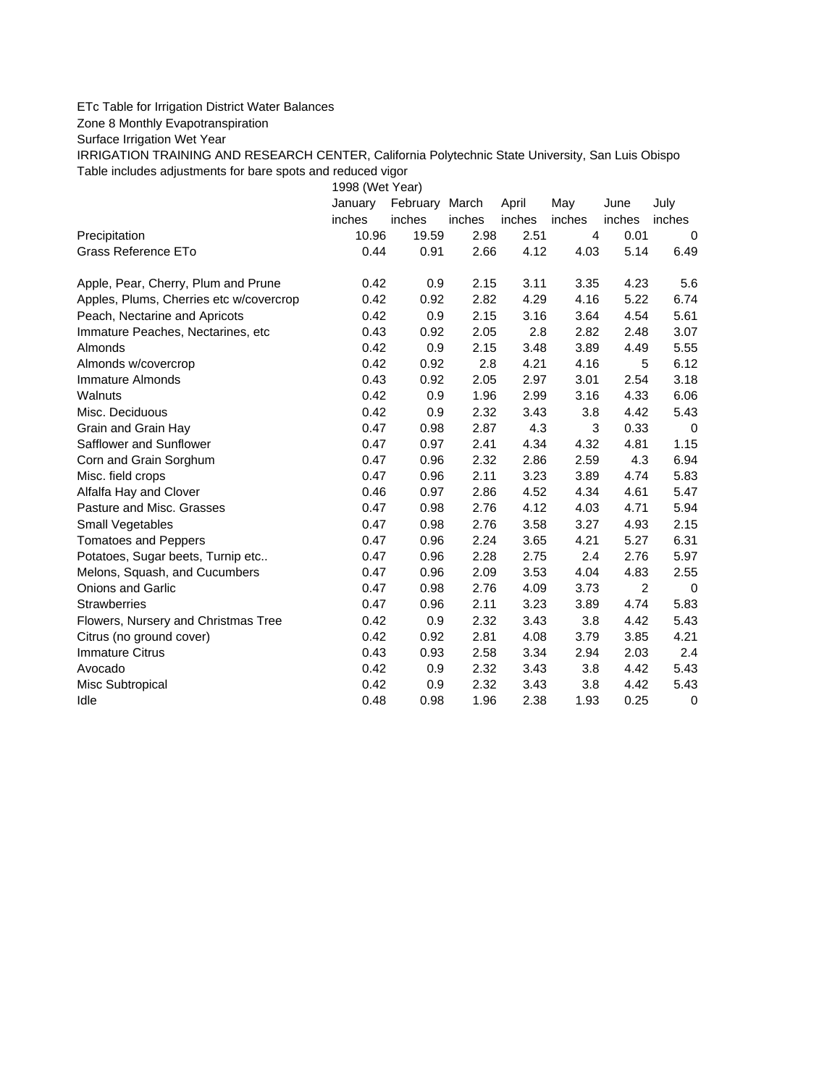## ETc Table for Irrigation District Water Balances

Zone 8 Monthly Evapotranspiration

Surface Irrigation Wet Year

IRRIGATION TRAINING AND RESEARCH CENTER, California Polytechnic State University, San Luis Obispo Table includes adjustments for bare spots and reduced vigor

1998 (Wet Year)

|                                         | January | February March |        | April  | May    | June           | July   |
|-----------------------------------------|---------|----------------|--------|--------|--------|----------------|--------|
|                                         | inches  | inches         | inches | inches | inches | inches         | inches |
| Precipitation                           | 10.96   | 19.59          | 2.98   | 2.51   | 4      | 0.01           | 0      |
| Grass Reference ETo                     | 0.44    | 0.91           | 2.66   | 4.12   | 4.03   | 5.14           | 6.49   |
| Apple, Pear, Cherry, Plum and Prune     | 0.42    | 0.9            | 2.15   | 3.11   | 3.35   | 4.23           | 5.6    |
| Apples, Plums, Cherries etc w/covercrop | 0.42    | 0.92           | 2.82   | 4.29   | 4.16   | 5.22           | 6.74   |
| Peach, Nectarine and Apricots           | 0.42    | 0.9            | 2.15   | 3.16   | 3.64   | 4.54           | 5.61   |
| Immature Peaches, Nectarines, etc.      | 0.43    | 0.92           | 2.05   | 2.8    | 2.82   | 2.48           | 3.07   |
| Almonds                                 | 0.42    | 0.9            | 2.15   | 3.48   | 3.89   | 4.49           | 5.55   |
| Almonds w/covercrop                     | 0.42    | 0.92           | 2.8    | 4.21   | 4.16   | 5              | 6.12   |
| Immature Almonds                        | 0.43    | 0.92           | 2.05   | 2.97   | 3.01   | 2.54           | 3.18   |
| Walnuts                                 | 0.42    | 0.9            | 1.96   | 2.99   | 3.16   | 4.33           | 6.06   |
| Misc. Deciduous                         | 0.42    | 0.9            | 2.32   | 3.43   | 3.8    | 4.42           | 5.43   |
| Grain and Grain Hay                     | 0.47    | 0.98           | 2.87   | 4.3    | 3      | 0.33           | 0      |
| Safflower and Sunflower                 | 0.47    | 0.97           | 2.41   | 4.34   | 4.32   | 4.81           | 1.15   |
| Corn and Grain Sorghum                  | 0.47    | 0.96           | 2.32   | 2.86   | 2.59   | 4.3            | 6.94   |
| Misc. field crops                       | 0.47    | 0.96           | 2.11   | 3.23   | 3.89   | 4.74           | 5.83   |
| Alfalfa Hay and Clover                  | 0.46    | 0.97           | 2.86   | 4.52   | 4.34   | 4.61           | 5.47   |
| Pasture and Misc. Grasses               | 0.47    | 0.98           | 2.76   | 4.12   | 4.03   | 4.71           | 5.94   |
| Small Vegetables                        | 0.47    | 0.98           | 2.76   | 3.58   | 3.27   | 4.93           | 2.15   |
| <b>Tomatoes and Peppers</b>             | 0.47    | 0.96           | 2.24   | 3.65   | 4.21   | 5.27           | 6.31   |
| Potatoes, Sugar beets, Turnip etc       | 0.47    | 0.96           | 2.28   | 2.75   | 2.4    | 2.76           | 5.97   |
| Melons, Squash, and Cucumbers           | 0.47    | 0.96           | 2.09   | 3.53   | 4.04   | 4.83           | 2.55   |
| Onions and Garlic                       | 0.47    | 0.98           | 2.76   | 4.09   | 3.73   | $\overline{c}$ | 0      |
| <b>Strawberries</b>                     | 0.47    | 0.96           | 2.11   | 3.23   | 3.89   | 4.74           | 5.83   |
| Flowers, Nursery and Christmas Tree     | 0.42    | 0.9            | 2.32   | 3.43   | 3.8    | 4.42           | 5.43   |
| Citrus (no ground cover)                | 0.42    | 0.92           | 2.81   | 4.08   | 3.79   | 3.85           | 4.21   |
| <b>Immature Citrus</b>                  | 0.43    | 0.93           | 2.58   | 3.34   | 2.94   | 2.03           | 2.4    |
| Avocado                                 | 0.42    | 0.9            | 2.32   | 3.43   | 3.8    | 4.42           | 5.43   |
| Misc Subtropical                        | 0.42    | 0.9            | 2.32   | 3.43   | 3.8    | 4.42           | 5.43   |
| Idle                                    | 0.48    | 0.98           | 1.96   | 2.38   | 1.93   | 0.25           | 0      |